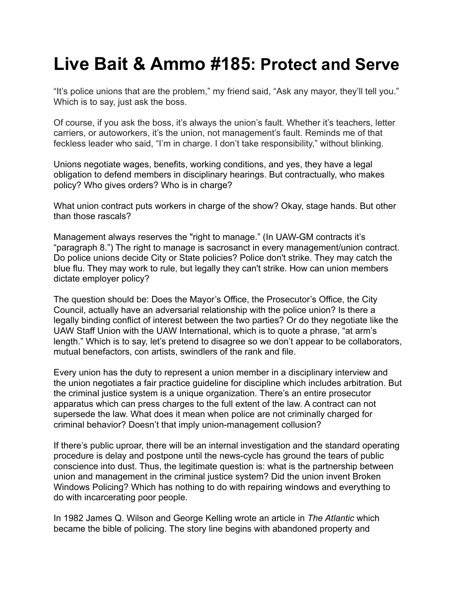## **Live Bait & Ammo #185: Protect and Serve**

"It's police unions that are the problem," my friend said, "Ask any mayor, they'll tell you." Which is to say, just ask the boss.

Of course, if you ask the boss, it's always the union's fault. Whether it's teachers, letter carriers, or autoworkers, it's the union, not management's fault. Reminds me of that feckless leader who said, "I'm in charge. I don't take responsibility," without blinking.

Unions negotiate wages, benefits, working conditions, and yes, they have a legal obligation to defend members in disciplinary hearings. But contractually, who makes policy? Who gives orders? Who is in charge?

What union contract puts workers in charge of the show? Okay, stage hands. But other than those rascals?

Management always reserves the "right to manage." (In UAW-GM contracts it's "paragraph 8.") The right to manage is sacrosanct in every management/union contract. Do police unions decide City or State policies? Police don't strike. They may catch the blue flu. They may work to rule, but legally they can't strike. How can union members dictate employer policy?

The question should be: Does the Mayor's Office, the Prosecutor's Office, the City Council, actually have an adversarial relationship with the police union? Is there a legally binding conflict of interest between the two parties? Or do they negotiate like the UAW Staff Union with the UAW International, which is to quote a phrase, "at arm's length." Which is to say, let's pretend to disagree so we don't appear to be collaborators, mutual benefactors, con artists, swindlers of the rank and file.

Every union has the duty to represent a union member in a disciplinary interview and the union negotiates a fair practice guideline for discipline which includes arbitration. But the criminal justice system is a unique organization. There's an entire prosecutor apparatus which can press charges to the full extent of the law. A contract can not supersede the law. What does it mean when police are not criminally charged for criminal behavior? Doesn't that imply union-management collusion?

If there's public uproar, there will be an internal investigation and the standard operating procedure is delay and postpone until the news-cycle has ground the tears of public conscience into dust. Thus, the legitimate question is: what is the partnership between union and management in the criminal justice system? Did the union invent Broken Windows Policing? Which has nothing to do with repairing windows and everything to do with incarcerating poor people.

In 1982 James Q. Wilson and George Kelling wrote an article in *The Atlantic* which became the bible of policing. The story line begins with abandoned property and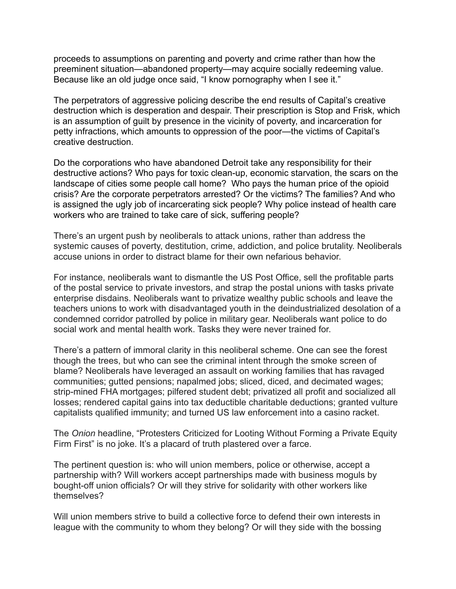proceeds to assumptions on parenting and poverty and crime rather than how the preeminent situation—abandoned property—may acquire socially redeeming value. Because like an old judge once said, "I know pornography when I see it."

The perpetrators of aggressive policing describe the end results of Capital's creative destruction which is desperation and despair. Their prescription is Stop and Frisk, which is an assumption of guilt by presence in the vicinity of poverty, and incarceration for petty infractions, which amounts to oppression of the poor—the victims of Capital's creative destruction.

Do the corporations who have abandoned Detroit take any responsibility for their destructive actions? Who pays for toxic clean-up, economic starvation, the scars on the landscape of cities some people call home? Who pays the human price of the opioid crisis? Are the corporate perpetrators arrested? Or the victims? The families? And who is assigned the ugly job of incarcerating sick people? Why police instead of health care workers who are trained to take care of sick, suffering people?

There's an urgent push by neoliberals to attack unions, rather than address the systemic causes of poverty, destitution, crime, addiction, and police brutality. Neoliberals accuse unions in order to distract blame for their own nefarious behavior.

For instance, neoliberals want to dismantle the US Post Office, sell the profitable parts of the postal service to private investors, and strap the postal unions with tasks private enterprise disdains. Neoliberals want to privatize wealthy public schools and leave the teachers unions to work with disadvantaged youth in the deindustrialized desolation of a condemned corridor patrolled by police in military gear. Neoliberals want police to do social work and mental health work. Tasks they were never trained for.

There's a pattern of immoral clarity in this neoliberal scheme. One can see the forest though the trees, but who can see the criminal intent through the smoke screen of blame? Neoliberals have leveraged an assault on working families that has ravaged communities; gutted pensions; napalmed jobs; sliced, diced, and decimated wages; strip-mined FHA mortgages; pilfered student debt; privatized all profit and socialized all losses; rendered capital gains into tax deductible charitable deductions; granted vulture capitalists qualified immunity; and turned US law enforcement into a casino racket.

The *Onion* headline, "Protesters Criticized for Looting Without Forming a Private Equity Firm First" is no joke. It's a placard of truth plastered over a farce.

The pertinent question is: who will union members, police or otherwise, accept a partnership with? Will workers accept partnerships made with business moguls by bought-off union officials? Or will they strive for solidarity with other workers like themselves?

Will union members strive to build a collective force to defend their own interests in league with the community to whom they belong? Or will they side with the bossing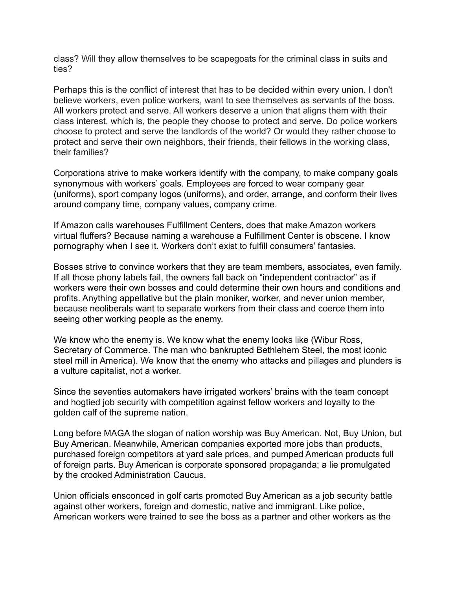class? Will they allow themselves to be scapegoats for the criminal class in suits and ties?

Perhaps this is the conflict of interest that has to be decided within every union. I don't believe workers, even police workers, want to see themselves as servants of the boss. All workers protect and serve. All workers deserve a union that aligns them with their class interest, which is, the people they choose to protect and serve. Do police workers choose to protect and serve the landlords of the world? Or would they rather choose to protect and serve their own neighbors, their friends, their fellows in the working class, their families?

Corporations strive to make workers identify with the company, to make company goals synonymous with workers' goals. Employees are forced to wear company gear (uniforms), sport company logos (uniforms), and order, arrange, and conform their lives around company time, company values, company crime.

If Amazon calls warehouses Fulfillment Centers, does that make Amazon workers virtual fluffers? Because naming a warehouse a Fulfillment Center is obscene. I know pornography when I see it. Workers don't exist to fulfill consumers' fantasies.

Bosses strive to convince workers that they are team members, associates, even family. If all those phony labels fail, the owners fall back on "independent contractor" as if workers were their own bosses and could determine their own hours and conditions and profits. Anything appellative but the plain moniker, worker, and never union member, because neoliberals want to separate workers from their class and coerce them into seeing other working people as the enemy.

We know who the enemy is. We know what the enemy looks like (Wibur Ross, Secretary of Commerce. The man who bankrupted Bethlehem Steel, the most iconic steel mill in America). We know that the enemy who attacks and pillages and plunders is a vulture capitalist, not a worker.

Since the seventies automakers have irrigated workers' brains with the team concept and hogtied job security with competition against fellow workers and loyalty to the golden calf of the supreme nation.

Long before MAGA the slogan of nation worship was Buy American. Not, Buy Union, but Buy American. Meanwhile, American companies exported more jobs than products, purchased foreign competitors at yard sale prices, and pumped American products full of foreign parts. Buy American is corporate sponsored propaganda; a lie promulgated by the crooked Administration Caucus.

Union officials ensconced in golf carts promoted Buy American as a job security battle against other workers, foreign and domestic, native and immigrant. Like police, American workers were trained to see the boss as a partner and other workers as the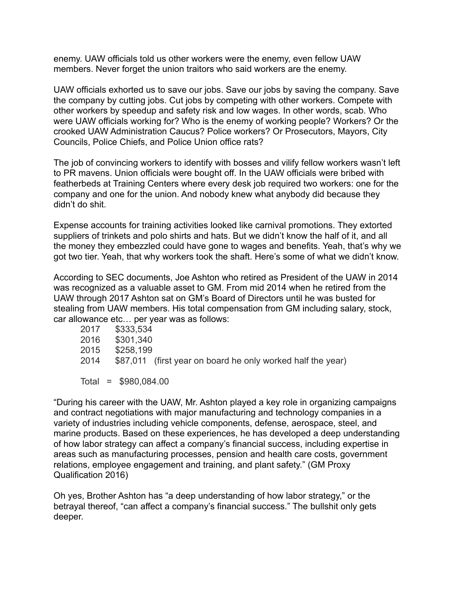enemy. UAW officials told us other workers were the enemy, even fellow UAW members. Never forget the union traitors who said workers are the enemy.

UAW officials exhorted us to save our jobs. Save our jobs by saving the company. Save the company by cutting jobs. Cut jobs by competing with other workers. Compete with other workers by speedup and safety risk and low wages. In other words, scab. Who were UAW officials working for? Who is the enemy of working people? Workers? Or the crooked UAW Administration Caucus? Police workers? Or Prosecutors, Mayors, City Councils, Police Chiefs, and Police Union office rats?

The job of convincing workers to identify with bosses and vilify fellow workers wasn't left to PR mavens. Union officials were bought off. In the UAW officials were bribed with featherbeds at Training Centers where every desk job required two workers: one for the company and one for the union. And nobody knew what anybody did because they didn't do shit.

Expense accounts for training activities looked like carnival promotions. They extorted suppliers of trinkets and polo shirts and hats. But we didn't know the half of it, and all the money they embezzled could have gone to wages and benefits. Yeah, that's why we got two tier. Yeah, that why workers took the shaft. Here's some of what we didn't know.

According to SEC documents, Joe Ashton who retired as President of the UAW in 2014 was recognized as a valuable asset to GM. From mid 2014 when he retired from the UAW through 2017 Ashton sat on GM's Board of Directors until he was busted for stealing from UAW members. His total compensation from GM including salary, stock, car allowance etc… per year was as follows:

| 2017 | \$333.534                                                   |
|------|-------------------------------------------------------------|
| 2016 | \$301,340                                                   |
| 2015 | \$258,199                                                   |
| 2014 | \$87,011 (first year on board he only worked half the year) |
|      |                                                             |
|      | Total = $$980,084.00$                                       |

"During his career with the UAW, Mr. Ashton played a key role in organizing campaigns and contract negotiations with major manufacturing and technology companies in a variety of industries including vehicle components, defense, aerospace, steel, and marine products. Based on these experiences, he has developed a deep understanding of how labor strategy can affect a company's financial success, including expertise in areas such as manufacturing processes, pension and health care costs, government relations, employee engagement and training, and plant safety." (GM Proxy Qualification 2016)

Oh yes, Brother Ashton has "a deep understanding of how labor strategy," or the betrayal thereof, "can affect a company's financial success." The bullshit only gets deeper.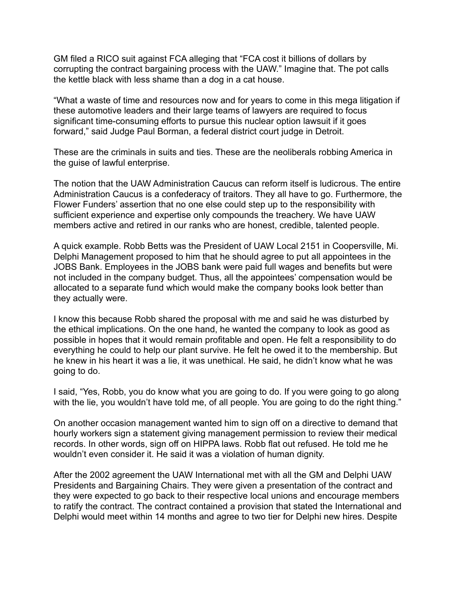GM filed a RICO suit against FCA alleging that "FCA cost it billions of dollars by corrupting the contract bargaining process with the UAW." Imagine that. The pot calls the kettle black with less shame than a dog in a cat house.

"What a waste of time and resources now and for years to come in this mega litigation if these automotive leaders and their large teams of lawyers are required to focus significant time-consuming efforts to pursue this nuclear option lawsuit if it goes forward," said Judge Paul Borman, a federal district court judge in Detroit.

These are the criminals in suits and ties. These are the neoliberals robbing America in the guise of lawful enterprise.

The notion that the UAW Administration Caucus can reform itself is ludicrous. The entire Administration Caucus is a confederacy of traitors. They all have to go. Furthermore, the Flower Funders' assertion that no one else could step up to the responsibility with sufficient experience and expertise only compounds the treachery. We have UAW members active and retired in our ranks who are honest, credible, talented people.

A quick example. Robb Betts was the President of UAW Local 2151 in Coopersville, Mi. Delphi Management proposed to him that he should agree to put all appointees in the JOBS Bank. Employees in the JOBS bank were paid full wages and benefits but were not included in the company budget. Thus, all the appointees' compensation would be allocated to a separate fund which would make the company books look better than they actually were.

I know this because Robb shared the proposal with me and said he was disturbed by the ethical implications. On the one hand, he wanted the company to look as good as possible in hopes that it would remain profitable and open. He felt a responsibility to do everything he could to help our plant survive. He felt he owed it to the membership. But he knew in his heart it was a lie, it was unethical. He said, he didn't know what he was going to do.

I said, "Yes, Robb, you do know what you are going to do. If you were going to go along with the lie, you wouldn't have told me, of all people. You are going to do the right thing."

On another occasion management wanted him to sign off on a directive to demand that hourly workers sign a statement giving management permission to review their medical records. In other words, sign off on HIPPA laws. Robb flat out refused. He told me he wouldn't even consider it. He said it was a violation of human dignity.

After the 2002 agreement the UAW International met with all the GM and Delphi UAW Presidents and Bargaining Chairs. They were given a presentation of the contract and they were expected to go back to their respective local unions and encourage members to ratify the contract. The contract contained a provision that stated the International and Delphi would meet within 14 months and agree to two tier for Delphi new hires. Despite